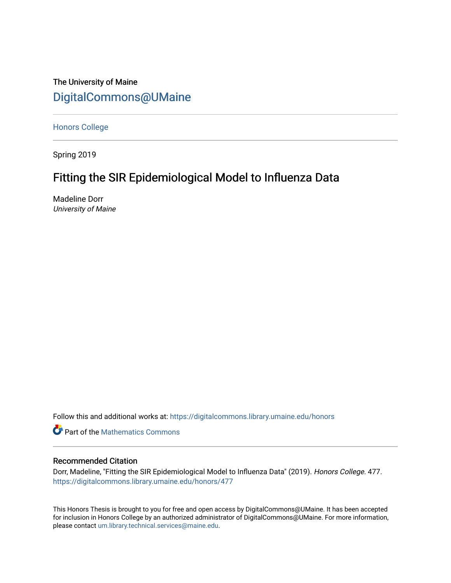# The University of Maine [DigitalCommons@UMaine](https://digitalcommons.library.umaine.edu/)

[Honors College](https://digitalcommons.library.umaine.edu/honors)

Spring 2019

# Fitting the SIR Epidemiological Model to Influenza Data

Madeline Dorr University of Maine

Follow this and additional works at: [https://digitalcommons.library.umaine.edu/honors](https://digitalcommons.library.umaine.edu/honors?utm_source=digitalcommons.library.umaine.edu%2Fhonors%2F477&utm_medium=PDF&utm_campaign=PDFCoverPages) 

**Part of the [Mathematics Commons](http://network.bepress.com/hgg/discipline/174?utm_source=digitalcommons.library.umaine.edu%2Fhonors%2F477&utm_medium=PDF&utm_campaign=PDFCoverPages)** 

#### Recommended Citation

Dorr, Madeline, "Fitting the SIR Epidemiological Model to Influenza Data" (2019). Honors College. 477. [https://digitalcommons.library.umaine.edu/honors/477](https://digitalcommons.library.umaine.edu/honors/477?utm_source=digitalcommons.library.umaine.edu%2Fhonors%2F477&utm_medium=PDF&utm_campaign=PDFCoverPages) 

This Honors Thesis is brought to you for free and open access by DigitalCommons@UMaine. It has been accepted for inclusion in Honors College by an authorized administrator of DigitalCommons@UMaine. For more information, please contact [um.library.technical.services@maine.edu.](mailto:um.library.technical.services@maine.edu)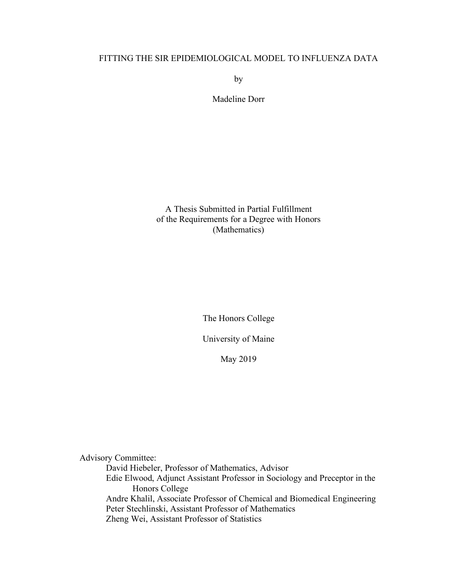### FITTING THE SIR EPIDEMIOLOGICAL MODEL TO INFLUENZA DATA

by

Madeline Dorr

A Thesis Submitted in Partial Fulfillment of the Requirements for a Degree with Honors (Mathematics)

The Honors College

University of Maine

May 2019

Advisory Committee:

David Hiebeler, Professor of Mathematics, Advisor Edie Elwood, Adjunct Assistant Professor in Sociology and Preceptor in the Honors College Andre Khalil, Associate Professor of Chemical and Biomedical Engineering Peter Stechlinski, Assistant Professor of Mathematics Zheng Wei, Assistant Professor of Statistics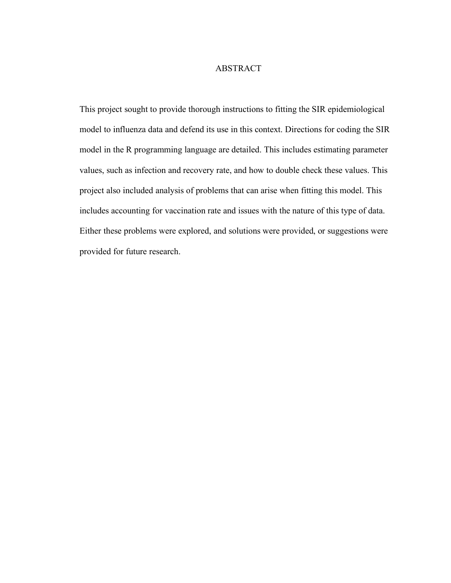#### ABSTRACT

This project sought to provide thorough instructions to fitting the SIR epidemiological model to influenza data and defend its use in this context. Directions for coding the SIR model in the R programming language are detailed. This includes estimating parameter values, such as infection and recovery rate, and how to double check these values. This project also included analysis of problems that can arise when fitting this model. This includes accounting for vaccination rate and issues with the nature of this type of data. Either these problems were explored, and solutions were provided, or suggestions were provided for future research.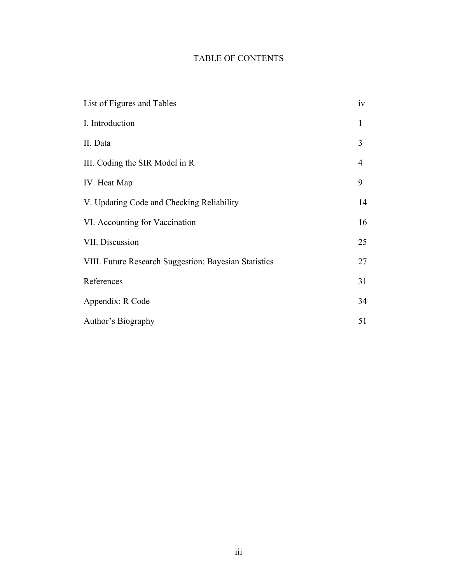# TABLE OF CONTENTS

| List of Figures and Tables                            | iv           |
|-------------------------------------------------------|--------------|
| I. Introduction                                       | $\mathbf{1}$ |
| II. Data                                              | 3            |
| III. Coding the SIR Model in R                        | 4            |
| IV. Heat Map                                          | 9            |
| V. Updating Code and Checking Reliability             | 14           |
| VI. Accounting for Vaccination                        | 16           |
| VII. Discussion                                       | 25           |
| VIII. Future Research Suggestion: Bayesian Statistics | 27           |
| References                                            | 31           |
| Appendix: R Code                                      | 34           |
| Author's Biography                                    | 51           |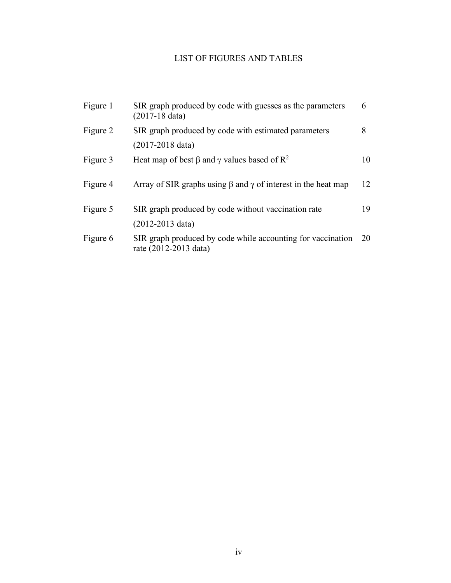# LIST OF FIGURES AND TABLES

| SIR graph produced by code with guesses as the parameters<br>$(2017-18)$ data)       | 6  |
|--------------------------------------------------------------------------------------|----|
| SIR graph produced by code with estimated parameters                                 | 8  |
| $(2017-2018 \text{ data})$                                                           |    |
| Heat map of best $\beta$ and $\gamma$ values based of $\mathbb{R}^2$                 | 10 |
| Array of SIR graphs using $\beta$ and $\gamma$ of interest in the heat map           | 12 |
| SIR graph produced by code without vaccination rate                                  | 19 |
| $(2012 - 2013)$ data)                                                                |    |
| SIR graph produced by code while accounting for vaccination<br>rate (2012-2013 data) | 20 |
|                                                                                      |    |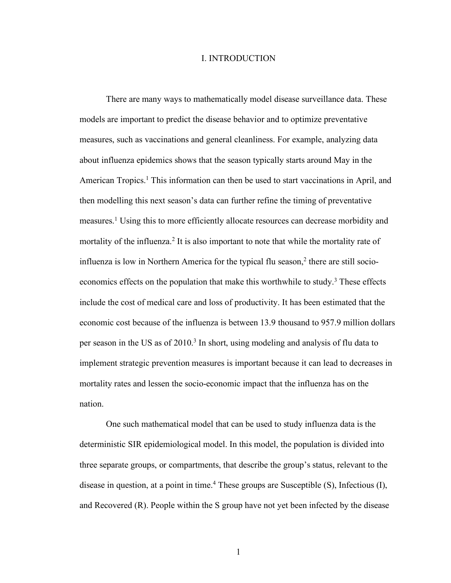#### I. INTRODUCTION

There are many ways to mathematically model disease surveillance data. These models are important to predict the disease behavior and to optimize preventative measures, such as vaccinations and general cleanliness. For example, analyzing data about influenza epidemics shows that the season typically starts around May in the American Tropics.<sup>1</sup> This information can then be used to start vaccinations in April, and then modelling this next season's data can further refine the timing of preventative measures.1 Using this to more efficiently allocate resources can decrease morbidity and mortality of the influenza.<sup>2</sup> It is also important to note that while the mortality rate of influenza is low in Northern America for the typical flu season, $<sup>2</sup>$  there are still socio-</sup> economics effects on the population that make this worthwhile to study.<sup>3</sup> These effects include the cost of medical care and loss of productivity. It has been estimated that the economic cost because of the influenza is between 13.9 thousand to 957.9 million dollars per season in the US as of 2010.<sup>3</sup> In short, using modeling and analysis of flu data to implement strategic prevention measures is important because it can lead to decreases in mortality rates and lessen the socio-economic impact that the influenza has on the nation.

One such mathematical model that can be used to study influenza data is the deterministic SIR epidemiological model. In this model, the population is divided into three separate groups, or compartments, that describe the group's status, relevant to the disease in question, at a point in time.<sup>4</sup> These groups are Susceptible  $(S)$ , Infectious  $(I)$ , and Recovered (R). People within the S group have not yet been infected by the disease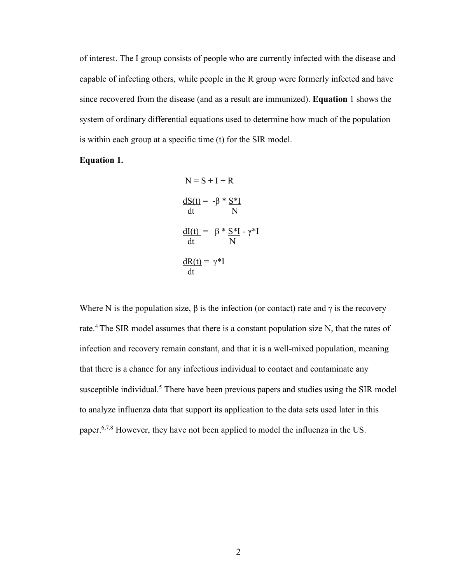of interest. The I group consists of people who are currently infected with the disease and capable of infecting others, while people in the R group were formerly infected and have since recovered from the disease (and as a result are immunized). **Equation** 1 shows the system of ordinary differential equations used to determine how much of the population is within each group at a specific time (t) for the SIR model.

#### **Equation 1.**

$$
N = S + I + R
$$
  
\n
$$
\frac{dS(t)}{dt} = -\beta * \frac{S * I}{N}
$$
  
\n
$$
\frac{dI(t)}{dt} = \beta * \frac{S * I}{N} - \gamma * I
$$
  
\n
$$
\frac{dR(t)}{dt} = \gamma * I
$$

Where N is the population size,  $\beta$  is the infection (or contact) rate and  $\gamma$  is the recovery rate.<sup>4</sup> The SIR model assumes that there is a constant population size N, that the rates of infection and recovery remain constant, and that it is a well-mixed population, meaning that there is a chance for any infectious individual to contact and contaminate any susceptible individual.<sup>5</sup> There have been previous papers and studies using the SIR model to analyze influenza data that support its application to the data sets used later in this paper.6,7,8 However, they have not been applied to model the influenza in the US.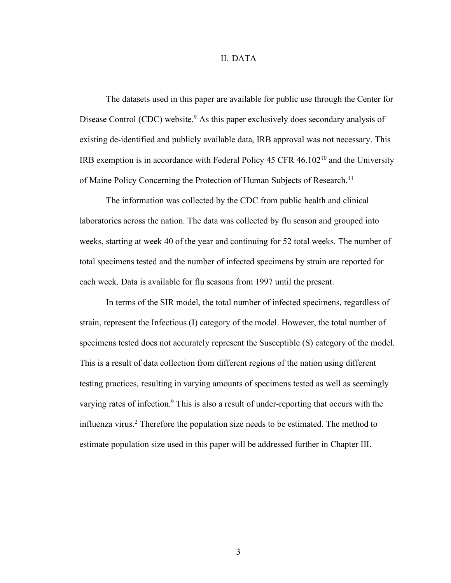#### II. DATA

The datasets used in this paper are available for public use through the Center for Disease Control (CDC) website.<sup>9</sup> As this paper exclusively does secondary analysis of existing de-identified and publicly available data, IRB approval was not necessary. This IRB exemption is in accordance with Federal Policy 45 CFR 46.10210 and the University of Maine Policy Concerning the Protection of Human Subjects of Research.<sup>11</sup>

The information was collected by the CDC from public health and clinical laboratories across the nation. The data was collected by flu season and grouped into weeks, starting at week 40 of the year and continuing for 52 total weeks. The number of total specimens tested and the number of infected specimens by strain are reported for each week. Data is available for flu seasons from 1997 until the present.

In terms of the SIR model, the total number of infected specimens, regardless of strain, represent the Infectious (I) category of the model. However, the total number of specimens tested does not accurately represent the Susceptible (S) category of the model. This is a result of data collection from different regions of the nation using different testing practices, resulting in varying amounts of specimens tested as well as seemingly varying rates of infection.<sup>9</sup> This is also a result of under-reporting that occurs with the influenza virus.<sup>2</sup> Therefore the population size needs to be estimated. The method to estimate population size used in this paper will be addressed further in Chapter III.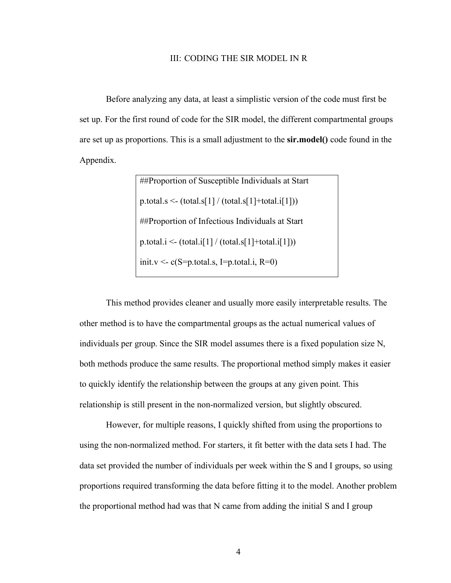#### III: CODING THE SIR MODEL IN R

Before analyzing any data, at least a simplistic version of the code must first be set up. For the first round of code for the SIR model, the different compartmental groups are set up as proportions. This is a small adjustment to the **sir.model()** code found in the Appendix.

> ##Proportion of Susceptible Individuals at Start  $p_{total.S} < (total.S[1] / (total.S[1]+total.i[1]))$ ##Proportion of Infectious Individuals at Start p.total.i <-  $(total.i[1] / (total.s[1]+total.i[1]))$ init.v <-  $c(S=p.total.s, I=p.total.i, R=0)$

This method provides cleaner and usually more easily interpretable results. The other method is to have the compartmental groups as the actual numerical values of individuals per group. Since the SIR model assumes there is a fixed population size N, both methods produce the same results. The proportional method simply makes it easier to quickly identify the relationship between the groups at any given point. This relationship is still present in the non-normalized version, but slightly obscured.

However, for multiple reasons, I quickly shifted from using the proportions to using the non-normalized method. For starters, it fit better with the data sets I had. The data set provided the number of individuals per week within the S and I groups, so using proportions required transforming the data before fitting it to the model. Another problem the proportional method had was that N came from adding the initial S and I group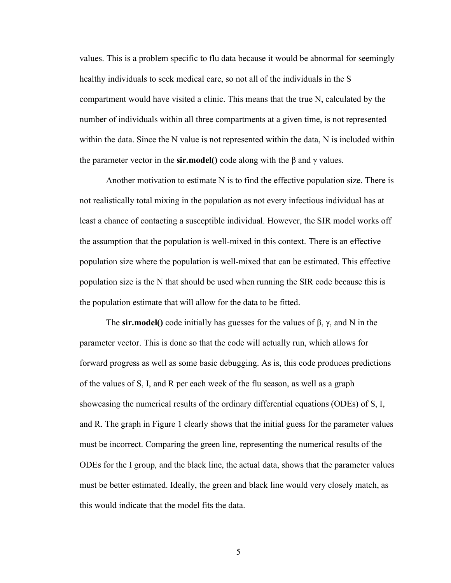values. This is a problem specific to flu data because it would be abnormal for seemingly healthy individuals to seek medical care, so not all of the individuals in the S compartment would have visited a clinic. This means that the true N, calculated by the number of individuals within all three compartments at a given time, is not represented within the data. Since the N value is not represented within the data, N is included within the parameter vector in the **sir.model**() code along with the β and  $γ$  values.

Another motivation to estimate N is to find the effective population size. There is not realistically total mixing in the population as not every infectious individual has at least a chance of contacting a susceptible individual. However, the SIR model works off the assumption that the population is well-mixed in this context. There is an effective population size where the population is well-mixed that can be estimated. This effective population size is the N that should be used when running the SIR code because this is the population estimate that will allow for the data to be fitted.

The **sir.model**() code initially has guesses for the values of  $\beta$ ,  $\gamma$ , and N in the parameter vector. This is done so that the code will actually run, which allows for forward progress as well as some basic debugging. As is, this code produces predictions of the values of S, I, and R per each week of the flu season, as well as a graph showcasing the numerical results of the ordinary differential equations (ODEs) of S, I, and R. The graph in Figure 1 clearly shows that the initial guess for the parameter values must be incorrect. Comparing the green line, representing the numerical results of the ODEs for the I group, and the black line, the actual data, shows that the parameter values must be better estimated. Ideally, the green and black line would very closely match, as this would indicate that the model fits the data.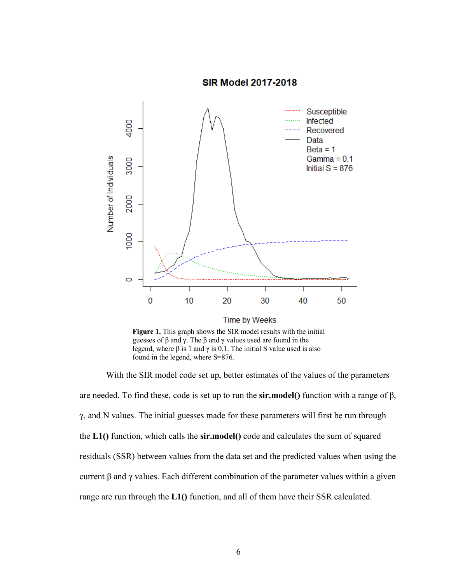**SIR Model 2017-2018** 



**Figure 1.** This graph shows the SIR model results with the initial guesses of β and γ. The β and γ values used are found in the legend, where β is 1 and  $\gamma$  is 0.1. The initial S value used is also found in the legend, where S=876.

With the SIR model code set up, better estimates of the values of the parameters are needed. To find these, code is set up to run the **sir.model()** function with a range of β,  $γ$ , and N values. The initial guesses made for these parameters will first be run through the **L1()** function, which calls the **sir.model()** code and calculates the sum of squared residuals (SSR) between values from the data set and the predicted values when using the current β and γ values. Each different combination of the parameter values within a given range are run through the **L1()** function, and all of them have their SSR calculated.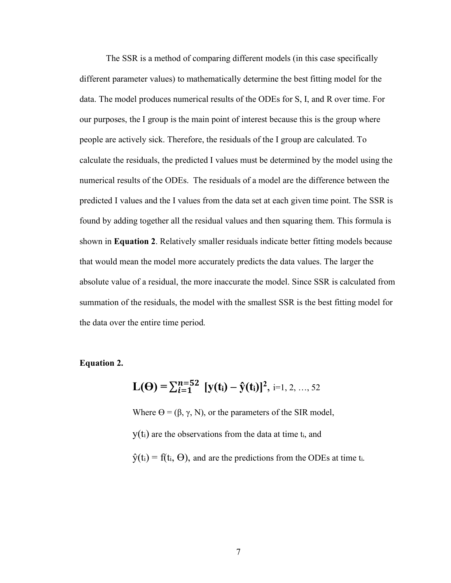The SSR is a method of comparing different models (in this case specifically different parameter values) to mathematically determine the best fitting model for the data. The model produces numerical results of the ODEs for S, I, and R over time. For our purposes, the I group is the main point of interest because this is the group where people are actively sick. Therefore, the residuals of the I group are calculated. To calculate the residuals, the predicted I values must be determined by the model using the numerical results of the ODEs. The residuals of a model are the difference between the predicted I values and the I values from the data set at each given time point. The SSR is found by adding together all the residual values and then squaring them. This formula is shown in **Equation 2**. Relatively smaller residuals indicate better fitting models because that would mean the model more accurately predicts the data values. The larger the absolute value of a residual, the more inaccurate the model. Since SSR is calculated from summation of the residuals, the model with the smallest SSR is the best fitting model for the data over the entire time period.

#### **Equation 2.**

$$
L(\Theta) = \sum_{i=1}^{n=52} [y(t_i) - \hat{y}(t_i)]^2, i=1, 2, ..., 52
$$

Where  $\Theta = (\beta, \gamma, N)$ , or the parameters of the SIR model,  $y(t_i)$  are the observations from the data at time  $t_i$ , and  $\hat{y}(t_i) = f(t_i, \Theta)$ , and are the predictions from the ODEs at time t<sub>i</sub>.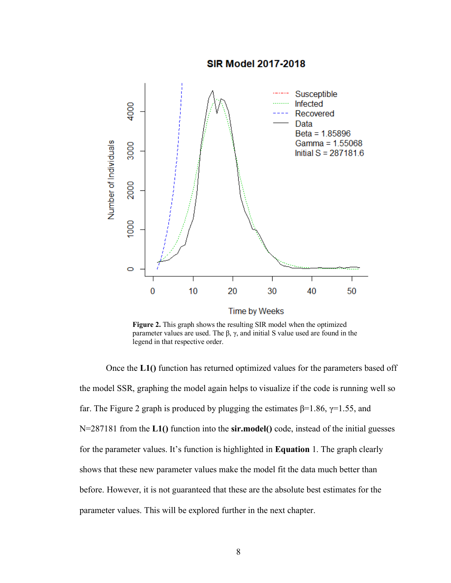

**Figure 2.** This graph shows the resulting SIR model when the optimized parameter values are used. The β, γ, and initial S value used are found in the legend in that respective order.

Once the **L1()** function has returned optimized values for the parameters based off the model SSR, graphing the model again helps to visualize if the code is running well so far. The Figure 2 graph is produced by plugging the estimates  $β=1.86$ ,  $γ=1.55$ , and N=287181 from the **L1()** function into the **sir.model()** code, instead of the initial guesses for the parameter values. It's function is highlighted in **Equation** 1. The graph clearly shows that these new parameter values make the model fit the data much better than before. However, it is not guaranteed that these are the absolute best estimates for the parameter values. This will be explored further in the next chapter.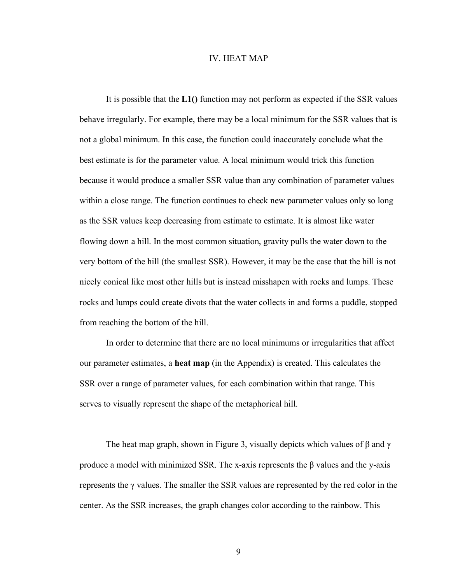#### IV. HEAT MAP

It is possible that the **L1()** function may not perform as expected if the SSR values behave irregularly. For example, there may be a local minimum for the SSR values that is not a global minimum. In this case, the function could inaccurately conclude what the best estimate is for the parameter value. A local minimum would trick this function because it would produce a smaller SSR value than any combination of parameter values within a close range. The function continues to check new parameter values only so long as the SSR values keep decreasing from estimate to estimate. It is almost like water flowing down a hill. In the most common situation, gravity pulls the water down to the very bottom of the hill (the smallest SSR). However, it may be the case that the hill is not nicely conical like most other hills but is instead misshapen with rocks and lumps. These rocks and lumps could create divots that the water collects in and forms a puddle, stopped from reaching the bottom of the hill.

In order to determine that there are no local minimums or irregularities that affect our parameter estimates, a **heat map** (in the Appendix) is created. This calculates the SSR over a range of parameter values, for each combination within that range. This serves to visually represent the shape of the metaphorical hill.

The heat map graph, shown in Figure 3, visually depicts which values of  $\beta$  and  $\gamma$ produce a model with minimized SSR. The x-axis represents the β values and the y-axis represents the γ values. The smaller the SSR values are represented by the red color in the center. As the SSR increases, the graph changes color according to the rainbow. This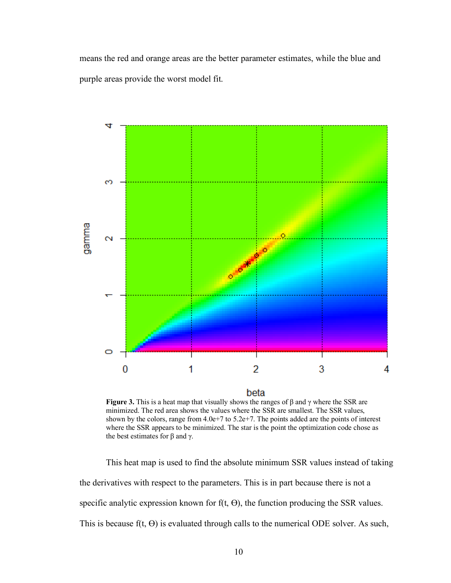means the red and orange areas are the better parameter estimates, while the blue and purple areas provide the worst model fit.



beta

**Figure 3.** This is a heat map that visually shows the ranges of β and γ where the SSR are minimized. The red area shows the values where the SSR are smallest. The SSR values, shown by the colors, range from  $4.0e+7$  to  $5.2e+7$ . The points added are the points of interest where the SSR appears to be minimized. The star is the point the optimization code chose as the best estimates for β and γ.

This heat map is used to find the absolute minimum SSR values instead of taking the derivatives with respect to the parameters. This is in part because there is not a specific analytic expression known for  $f(t, \Theta)$ , the function producing the SSR values. This is because  $f(t, \Theta)$  is evaluated through calls to the numerical ODE solver. As such,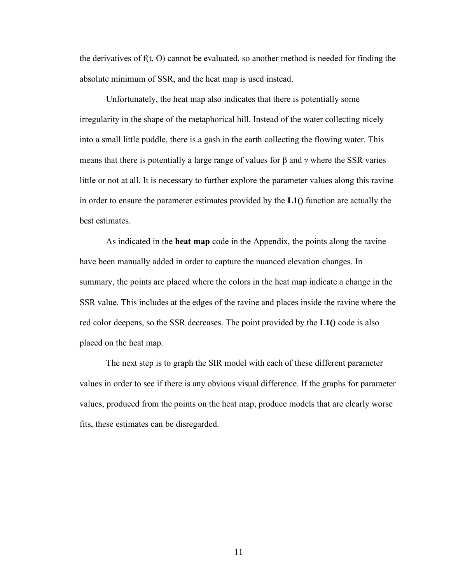the derivatives of  $f(t, \Theta)$  cannot be evaluated, so another method is needed for finding the absolute minimum of SSR, and the heat map is used instead.

Unfortunately, the heat map also indicates that there is potentially some irregularity in the shape of the metaphorical hill. Instead of the water collecting nicely into a small little puddle, there is a gash in the earth collecting the flowing water. This means that there is potentially a large range of values for  $\beta$  and  $\gamma$  where the SSR varies little or not at all. It is necessary to further explore the parameter values along this ravine in order to ensure the parameter estimates provided by the **L1()** function are actually the best estimates.

As indicated in the **heat map** code in the Appendix, the points along the ravine have been manually added in order to capture the nuanced elevation changes. In summary, the points are placed where the colors in the heat map indicate a change in the SSR value. This includes at the edges of the ravine and places inside the ravine where the red color deepens, so the SSR decreases. The point provided by the **L1()** code is also placed on the heat map.

The next step is to graph the SIR model with each of these different parameter values in order to see if there is any obvious visual difference. If the graphs for parameter values, produced from the points on the heat map, produce models that are clearly worse fits, these estimates can be disregarded.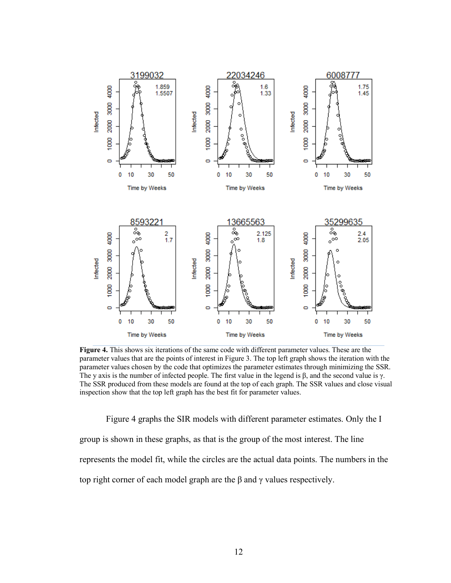

**Figure 4.** This shows six iterations of the same code with different parameter values. These are the parameter values that are the points of interest in Figure 3. The top left graph shows the iteration with the parameter values chosen by the code that optimizes the parameter estimates through minimizing the SSR. The y axis is the number of infected people. The first value in the legend is  $\beta$ , and the second value is γ. The SSR produced from these models are found at the top of each graph. The SSR values and close visual inspection show that the top left graph has the best fit for parameter values.

Figure 4 graphs the SIR models with different parameter estimates. Only the I group is shown in these graphs, as that is the group of the most interest. The line represents the model fit, while the circles are the actual data points. The numbers in the top right corner of each model graph are the β and γ values respectively.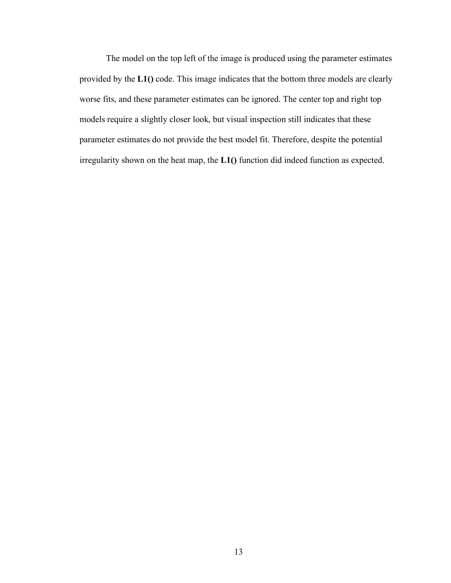The model on the top left of the image is produced using the parameter estimates provided by the **L1()** code. This image indicates that the bottom three models are clearly worse fits, and these parameter estimates can be ignored. The center top and right top models require a slightly closer look, but visual inspection still indicates that these parameter estimates do not provide the best model fit. Therefore, despite the potential irregularity shown on the heat map, the **L1()** function did indeed function as expected.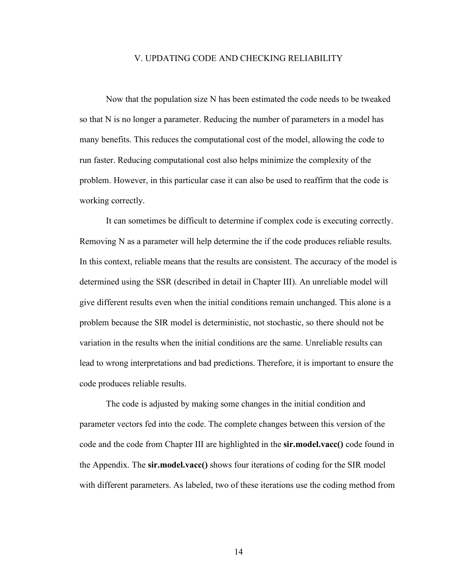#### V. UPDATING CODE AND CHECKING RELIABILITY

Now that the population size N has been estimated the code needs to be tweaked so that N is no longer a parameter. Reducing the number of parameters in a model has many benefits. This reduces the computational cost of the model, allowing the code to run faster. Reducing computational cost also helps minimize the complexity of the problem. However, in this particular case it can also be used to reaffirm that the code is working correctly.

It can sometimes be difficult to determine if complex code is executing correctly. Removing N as a parameter will help determine the if the code produces reliable results. In this context, reliable means that the results are consistent. The accuracy of the model is determined using the SSR (described in detail in Chapter III). An unreliable model will give different results even when the initial conditions remain unchanged. This alone is a problem because the SIR model is deterministic, not stochastic, so there should not be variation in the results when the initial conditions are the same. Unreliable results can lead to wrong interpretations and bad predictions. Therefore, it is important to ensure the code produces reliable results.

The code is adjusted by making some changes in the initial condition and parameter vectors fed into the code. The complete changes between this version of the code and the code from Chapter III are highlighted in the **sir.model.vacc()** code found in the Appendix. The **sir.model.vacc()** shows four iterations of coding for the SIR model with different parameters. As labeled, two of these iterations use the coding method from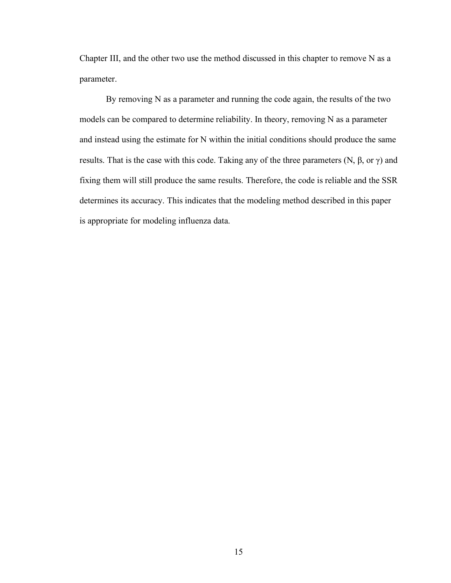Chapter III, and the other two use the method discussed in this chapter to remove N as a parameter.

By removing N as a parameter and running the code again, the results of the two models can be compared to determine reliability. In theory, removing N as a parameter and instead using the estimate for N within the initial conditions should produce the same results. That is the case with this code. Taking any of the three parameters (N, β, or γ) and fixing them will still produce the same results. Therefore, the code is reliable and the SSR determines its accuracy. This indicates that the modeling method described in this paper is appropriate for modeling influenza data.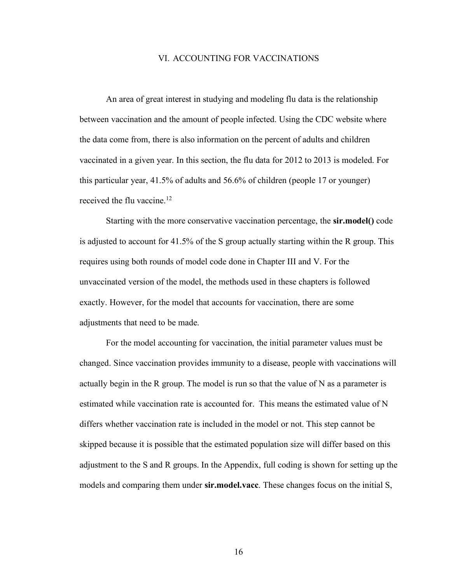#### VI. ACCOUNTING FOR VACCINATIONS

An area of great interest in studying and modeling flu data is the relationship between vaccination and the amount of people infected. Using the CDC website where the data come from, there is also information on the percent of adults and children vaccinated in a given year. In this section, the flu data for 2012 to 2013 is modeled. For this particular year, 41.5% of adults and 56.6% of children (people 17 or younger) received the flu vaccine.<sup>12</sup>

Starting with the more conservative vaccination percentage, the **sir.model()** code is adjusted to account for 41.5% of the S group actually starting within the R group. This requires using both rounds of model code done in Chapter III and V. For the unvaccinated version of the model, the methods used in these chapters is followed exactly. However, for the model that accounts for vaccination, there are some adjustments that need to be made.

For the model accounting for vaccination, the initial parameter values must be changed. Since vaccination provides immunity to a disease, people with vaccinations will actually begin in the R group. The model is run so that the value of N as a parameter is estimated while vaccination rate is accounted for. This means the estimated value of N differs whether vaccination rate is included in the model or not. This step cannot be skipped because it is possible that the estimated population size will differ based on this adjustment to the S and R groups. In the Appendix, full coding is shown for setting up the models and comparing them under **sir.model.vacc**. These changes focus on the initial S,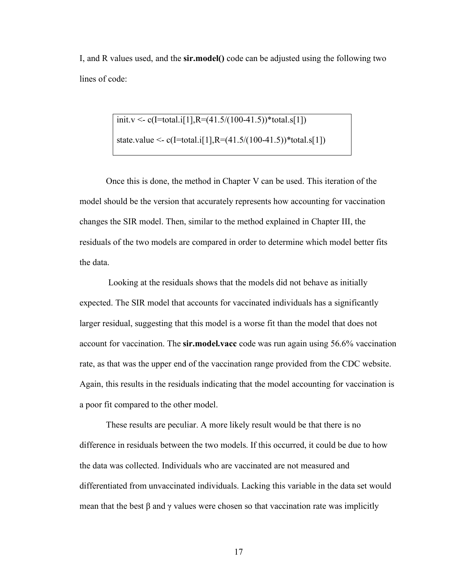I, and R values used, and the **sir.model()** code can be adjusted using the following two lines of code:

> init.v <- c(I=total.i[1],R= $(41.5/(100-41.5))$ \*total.s[1]) state.value <- c(I=total.i[1],R= $(41.5/(100-41.5))$ \*total.s[1])

Once this is done, the method in Chapter V can be used. This iteration of the model should be the version that accurately represents how accounting for vaccination changes the SIR model. Then, similar to the method explained in Chapter III, the residuals of the two models are compared in order to determine which model better fits the data.

Looking at the residuals shows that the models did not behave as initially expected. The SIR model that accounts for vaccinated individuals has a significantly larger residual, suggesting that this model is a worse fit than the model that does not account for vaccination. The **sir.model.vacc** code was run again using 56.6% vaccination rate, as that was the upper end of the vaccination range provided from the CDC website. Again, this results in the residuals indicating that the model accounting for vaccination is a poor fit compared to the other model.

These results are peculiar. A more likely result would be that there is no difference in residuals between the two models. If this occurred, it could be due to how the data was collected. Individuals who are vaccinated are not measured and differentiated from unvaccinated individuals. Lacking this variable in the data set would mean that the best  $\beta$  and  $\gamma$  values were chosen so that vaccination rate was implicitly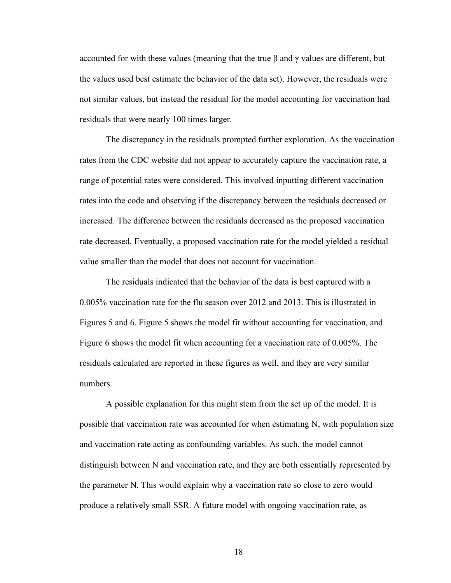accounted for with these values (meaning that the true β and γ values are different, but the values used best estimate the behavior of the data set). However, the residuals were not similar values, but instead the residual for the model accounting for vaccination had residuals that were nearly 100 times larger.

The discrepancy in the residuals prompted further exploration. As the vaccination rates from the CDC website did not appear to accurately capture the vaccination rate, a range of potential rates were considered. This involved inputting different vaccination rates into the code and observing if the discrepancy between the residuals decreased or increased. The difference between the residuals decreased as the proposed vaccination rate decreased. Eventually, a proposed vaccination rate for the model yielded a residual value smaller than the model that does not account for vaccination.

The residuals indicated that the behavior of the data is best captured with a 0.005% vaccination rate for the flu season over 2012 and 2013. This is illustrated in Figures 5 and 6. Figure 5 shows the model fit without accounting for vaccination, and Figure 6 shows the model fit when accounting for a vaccination rate of 0.005%. The residuals calculated are reported in these figures as well, and they are very similar numbers.

A possible explanation for this might stem from the set up of the model. It is possible that vaccination rate was accounted for when estimating N, with population size and vaccination rate acting as confounding variables. As such, the model cannot distinguish between N and vaccination rate, and they are both essentially represented by the parameter N. This would explain why a vaccination rate so close to zero would produce a relatively small SSR. A future model with ongoing vaccination rate, as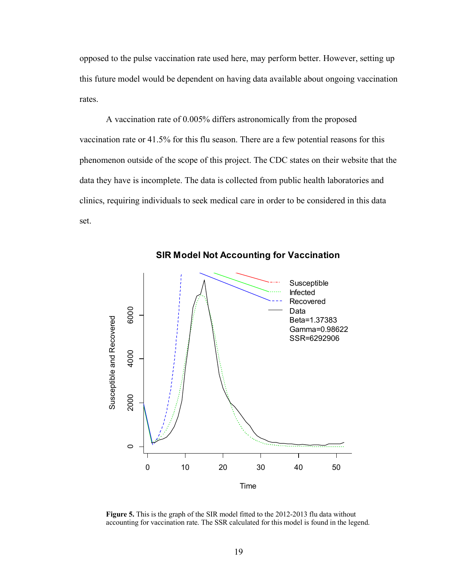opposed to the pulse vaccination rate used here, may perform better. However, setting up this future model would be dependent on having data available about ongoing vaccination rates.

A vaccination rate of 0.005% differs astronomically from the proposed vaccination rate or 41.5% for this flu season. There are a few potential reasons for this phenomenon outside of the scope of this project. The CDC states on their website that the data they have is incomplete. The data is collected from public health laboratories and clinics, requiring individuals to seek medical care in order to be considered in this data set.



**SIR Model Not Accounting for Vaccination**

**Figure 5.** This is the graph of the SIR model fitted to the 2012-2013 flu data without accounting for vaccination rate. The SSR calculated for this model is found in the legend.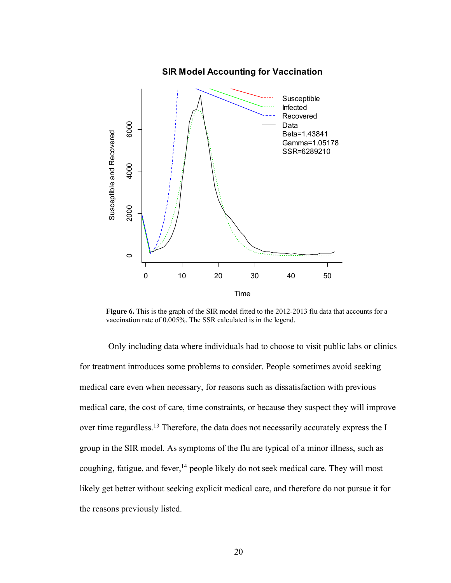

**Figure 6.** This is the graph of the SIR model fitted to the 2012-2013 flu data that accounts for a vaccination rate of 0.005%. The SSR calculated is in the legend.

Only including data where individuals had to choose to visit public labs or clinics for treatment introduces some problems to consider. People sometimes avoid seeking medical care even when necessary, for reasons such as dissatisfaction with previous medical care, the cost of care, time constraints, or because they suspect they will improve over time regardless.<sup>13</sup> Therefore, the data does not necessarily accurately express the I group in the SIR model. As symptoms of the flu are typical of a minor illness, such as coughing, fatigue, and fever,  $^{14}$  people likely do not seek medical care. They will most likely get better without seeking explicit medical care, and therefore do not pursue it for the reasons previously listed.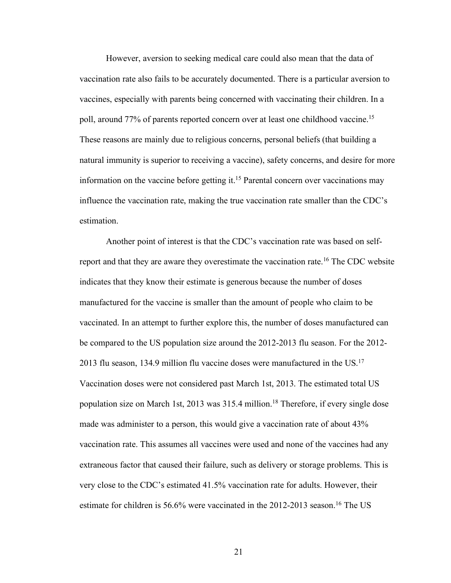However, aversion to seeking medical care could also mean that the data of vaccination rate also fails to be accurately documented. There is a particular aversion to vaccines, especially with parents being concerned with vaccinating their children. In a poll, around 77% of parents reported concern over at least one childhood vaccine.<sup>15</sup> These reasons are mainly due to religious concerns, personal beliefs (that building a natural immunity is superior to receiving a vaccine), safety concerns, and desire for more information on the vaccine before getting it.<sup>15</sup> Parental concern over vaccinations may influence the vaccination rate, making the true vaccination rate smaller than the CDC's estimation.

Another point of interest is that the CDC's vaccination rate was based on selfreport and that they are aware they overestimate the vaccination rate.<sup>16</sup> The CDC website indicates that they know their estimate is generous because the number of doses manufactured for the vaccine is smaller than the amount of people who claim to be vaccinated. In an attempt to further explore this, the number of doses manufactured can be compared to the US population size around the 2012-2013 flu season. For the 2012- 2013 flu season, 134.9 million flu vaccine doses were manufactured in the US.17 Vaccination doses were not considered past March 1st, 2013. The estimated total US population size on March 1st, 2013 was 315.4 million.18 Therefore, if every single dose made was administer to a person, this would give a vaccination rate of about 43% vaccination rate. This assumes all vaccines were used and none of the vaccines had any extraneous factor that caused their failure, such as delivery or storage problems. This is very close to the CDC's estimated 41.5% vaccination rate for adults. However, their estimate for children is 56.6% were vaccinated in the 2012-2013 season.<sup>16</sup> The US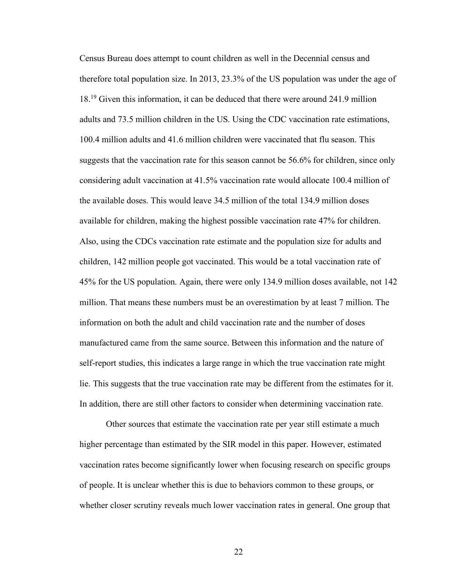Census Bureau does attempt to count children as well in the Decennial census and therefore total population size. In 2013, 23.3% of the US population was under the age of 18.19 Given this information, it can be deduced that there were around 241.9 million adults and 73.5 million children in the US. Using the CDC vaccination rate estimations, 100.4 million adults and 41.6 million children were vaccinated that flu season. This suggests that the vaccination rate for this season cannot be 56.6% for children, since only considering adult vaccination at 41.5% vaccination rate would allocate 100.4 million of the available doses. This would leave 34.5 million of the total 134.9 million doses available for children, making the highest possible vaccination rate 47% for children. Also, using the CDCs vaccination rate estimate and the population size for adults and children, 142 million people got vaccinated. This would be a total vaccination rate of 45% for the US population. Again, there were only 134.9 million doses available, not 142 million. That means these numbers must be an overestimation by at least 7 million. The information on both the adult and child vaccination rate and the number of doses manufactured came from the same source. Between this information and the nature of self-report studies, this indicates a large range in which the true vaccination rate might lie. This suggests that the true vaccination rate may be different from the estimates for it. In addition, there are still other factors to consider when determining vaccination rate.

Other sources that estimate the vaccination rate per year still estimate a much higher percentage than estimated by the SIR model in this paper. However, estimated vaccination rates become significantly lower when focusing research on specific groups of people. It is unclear whether this is due to behaviors common to these groups, or whether closer scrutiny reveals much lower vaccination rates in general. One group that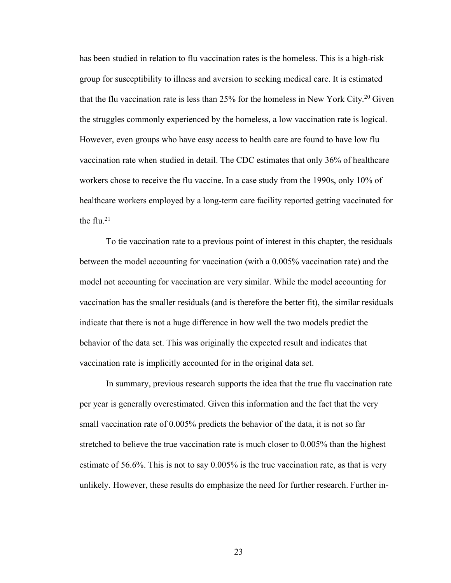has been studied in relation to flu vaccination rates is the homeless. This is a high-risk group for susceptibility to illness and aversion to seeking medical care. It is estimated that the flu vaccination rate is less than 25% for the homeless in New York City.20 Given the struggles commonly experienced by the homeless, a low vaccination rate is logical. However, even groups who have easy access to health care are found to have low flu vaccination rate when studied in detail. The CDC estimates that only 36% of healthcare workers chose to receive the flu vaccine. In a case study from the 1990s, only 10% of healthcare workers employed by a long-term care facility reported getting vaccinated for the flu $21$ 

To tie vaccination rate to a previous point of interest in this chapter, the residuals between the model accounting for vaccination (with a 0.005% vaccination rate) and the model not accounting for vaccination are very similar. While the model accounting for vaccination has the smaller residuals (and is therefore the better fit), the similar residuals indicate that there is not a huge difference in how well the two models predict the behavior of the data set. This was originally the expected result and indicates that vaccination rate is implicitly accounted for in the original data set.

In summary, previous research supports the idea that the true flu vaccination rate per year is generally overestimated. Given this information and the fact that the very small vaccination rate of 0.005% predicts the behavior of the data, it is not so far stretched to believe the true vaccination rate is much closer to 0.005% than the highest estimate of 56.6%. This is not to say 0.005% is the true vaccination rate, as that is very unlikely. However, these results do emphasize the need for further research. Further in-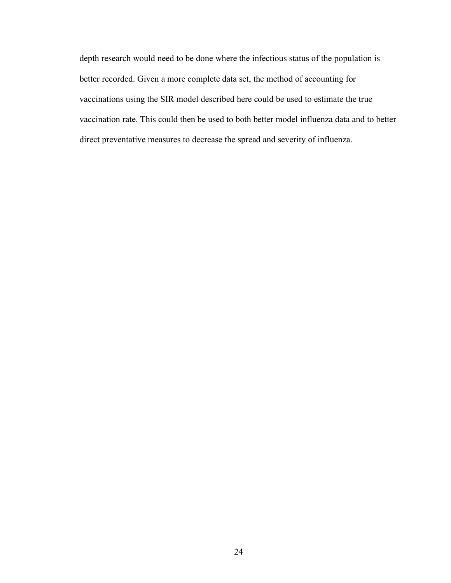depth research would need to be done where the infectious status of the population is better recorded. Given a more complete data set, the method of accounting for vaccinations using the SIR model described here could be used to estimate the true vaccination rate. This could then be used to both better model influenza data and to better direct preventative measures to decrease the spread and severity of influenza.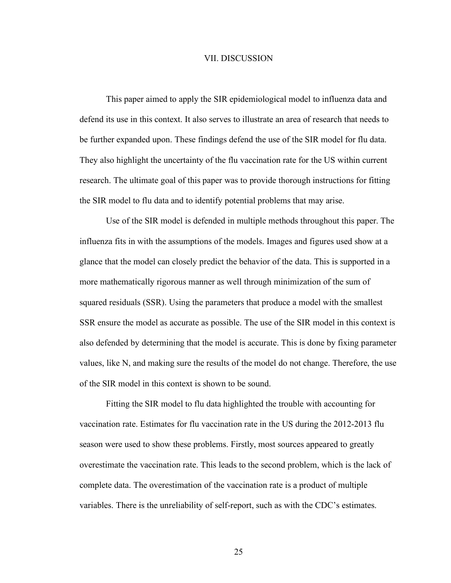#### VII. DISCUSSION

This paper aimed to apply the SIR epidemiological model to influenza data and defend its use in this context. It also serves to illustrate an area of research that needs to be further expanded upon. These findings defend the use of the SIR model for flu data. They also highlight the uncertainty of the flu vaccination rate for the US within current research. The ultimate goal of this paper was to provide thorough instructions for fitting the SIR model to flu data and to identify potential problems that may arise.

Use of the SIR model is defended in multiple methods throughout this paper. The influenza fits in with the assumptions of the models. Images and figures used show at a glance that the model can closely predict the behavior of the data. This is supported in a more mathematically rigorous manner as well through minimization of the sum of squared residuals (SSR). Using the parameters that produce a model with the smallest SSR ensure the model as accurate as possible. The use of the SIR model in this context is also defended by determining that the model is accurate. This is done by fixing parameter values, like N, and making sure the results of the model do not change. Therefore, the use of the SIR model in this context is shown to be sound.

Fitting the SIR model to flu data highlighted the trouble with accounting for vaccination rate. Estimates for flu vaccination rate in the US during the 2012-2013 flu season were used to show these problems. Firstly, most sources appeared to greatly overestimate the vaccination rate. This leads to the second problem, which is the lack of complete data. The overestimation of the vaccination rate is a product of multiple variables. There is the unreliability of self-report, such as with the CDC's estimates.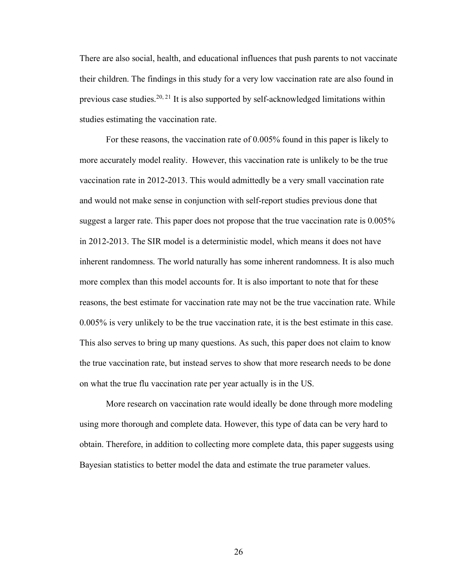There are also social, health, and educational influences that push parents to not vaccinate their children. The findings in this study for a very low vaccination rate are also found in previous case studies.<sup>20, 21</sup> It is also supported by self-acknowledged limitations within studies estimating the vaccination rate.

For these reasons, the vaccination rate of 0.005% found in this paper is likely to more accurately model reality. However, this vaccination rate is unlikely to be the true vaccination rate in 2012-2013. This would admittedly be a very small vaccination rate and would not make sense in conjunction with self-report studies previous done that suggest a larger rate. This paper does not propose that the true vaccination rate is 0.005% in 2012-2013. The SIR model is a deterministic model, which means it does not have inherent randomness. The world naturally has some inherent randomness. It is also much more complex than this model accounts for. It is also important to note that for these reasons, the best estimate for vaccination rate may not be the true vaccination rate. While 0.005% is very unlikely to be the true vaccination rate, it is the best estimate in this case. This also serves to bring up many questions. As such, this paper does not claim to know the true vaccination rate, but instead serves to show that more research needs to be done on what the true flu vaccination rate per year actually is in the US.

More research on vaccination rate would ideally be done through more modeling using more thorough and complete data. However, this type of data can be very hard to obtain. Therefore, in addition to collecting more complete data, this paper suggests using Bayesian statistics to better model the data and estimate the true parameter values.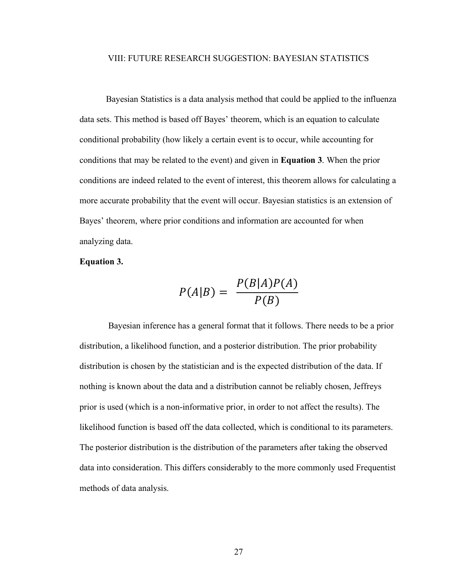#### VIII: FUTURE RESEARCH SUGGESTION: BAYESIAN STATISTICS

Bayesian Statistics is a data analysis method that could be applied to the influenza data sets. This method is based off Bayes' theorem, which is an equation to calculate conditional probability (how likely a certain event is to occur, while accounting for conditions that may be related to the event) and given in **Equation 3**. When the prior conditions are indeed related to the event of interest, this theorem allows for calculating a more accurate probability that the event will occur. Bayesian statistics is an extension of Bayes' theorem, where prior conditions and information are accounted for when analyzing data.

#### **Equation 3.**

$$
P(A|B) = \frac{P(B|A)P(A)}{P(B)}
$$

Bayesian inference has a general format that it follows. There needs to be a prior distribution, a likelihood function, and a posterior distribution. The prior probability distribution is chosen by the statistician and is the expected distribution of the data. If nothing is known about the data and a distribution cannot be reliably chosen, Jeffreys prior is used (which is a non-informative prior, in order to not affect the results). The likelihood function is based off the data collected, which is conditional to its parameters. The posterior distribution is the distribution of the parameters after taking the observed data into consideration. This differs considerably to the more commonly used Frequentist methods of data analysis.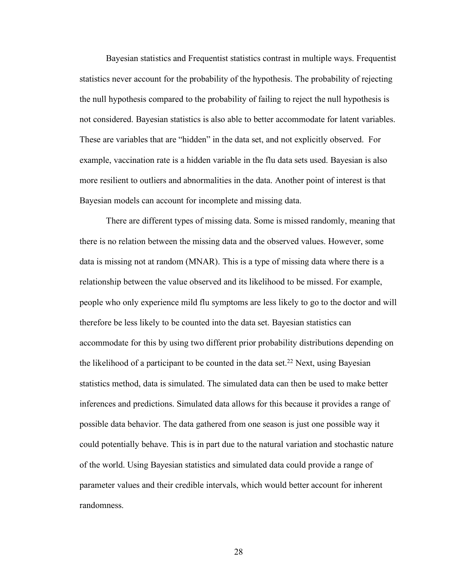Bayesian statistics and Frequentist statistics contrast in multiple ways. Frequentist statistics never account for the probability of the hypothesis. The probability of rejecting the null hypothesis compared to the probability of failing to reject the null hypothesis is not considered. Bayesian statistics is also able to better accommodate for latent variables. These are variables that are "hidden" in the data set, and not explicitly observed. For example, vaccination rate is a hidden variable in the flu data sets used. Bayesian is also more resilient to outliers and abnormalities in the data. Another point of interest is that Bayesian models can account for incomplete and missing data.

There are different types of missing data. Some is missed randomly, meaning that there is no relation between the missing data and the observed values. However, some data is missing not at random (MNAR). This is a type of missing data where there is a relationship between the value observed and its likelihood to be missed. For example, people who only experience mild flu symptoms are less likely to go to the doctor and will therefore be less likely to be counted into the data set. Bayesian statistics can accommodate for this by using two different prior probability distributions depending on the likelihood of a participant to be counted in the data set.<sup>22</sup> Next, using Bayesian statistics method, data is simulated. The simulated data can then be used to make better inferences and predictions. Simulated data allows for this because it provides a range of possible data behavior. The data gathered from one season is just one possible way it could potentially behave. This is in part due to the natural variation and stochastic nature of the world. Using Bayesian statistics and simulated data could provide a range of parameter values and their credible intervals, which would better account for inherent randomness.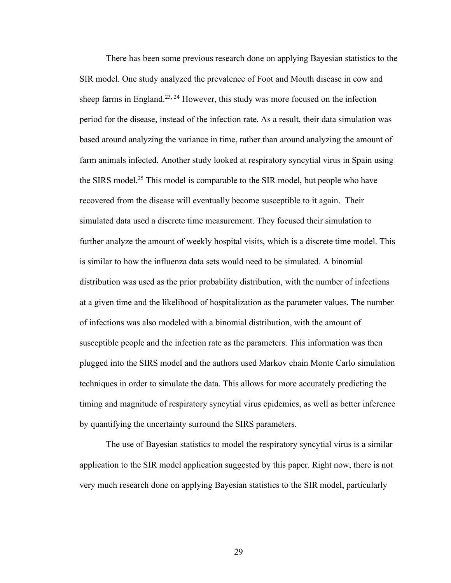There has been some previous research done on applying Bayesian statistics to the SIR model. One study analyzed the prevalence of Foot and Mouth disease in cow and sheep farms in England.<sup>23, 24</sup> However, this study was more focused on the infection period for the disease, instead of the infection rate. As a result, their data simulation was based around analyzing the variance in time, rather than around analyzing the amount of farm animals infected. Another study looked at respiratory syncytial virus in Spain using the SIRS model.25 This model is comparable to the SIR model, but people who have recovered from the disease will eventually become susceptible to it again. Their simulated data used a discrete time measurement. They focused their simulation to further analyze the amount of weekly hospital visits, which is a discrete time model. This is similar to how the influenza data sets would need to be simulated. A binomial distribution was used as the prior probability distribution, with the number of infections at a given time and the likelihood of hospitalization as the parameter values. The number of infections was also modeled with a binomial distribution, with the amount of susceptible people and the infection rate as the parameters. This information was then plugged into the SIRS model and the authors used Markov chain Monte Carlo simulation techniques in order to simulate the data. This allows for more accurately predicting the timing and magnitude of respiratory syncytial virus epidemics, as well as better inference by quantifying the uncertainty surround the SIRS parameters.

The use of Bayesian statistics to model the respiratory syncytial virus is a similar application to the SIR model application suggested by this paper. Right now, there is not very much research done on applying Bayesian statistics to the SIR model, particularly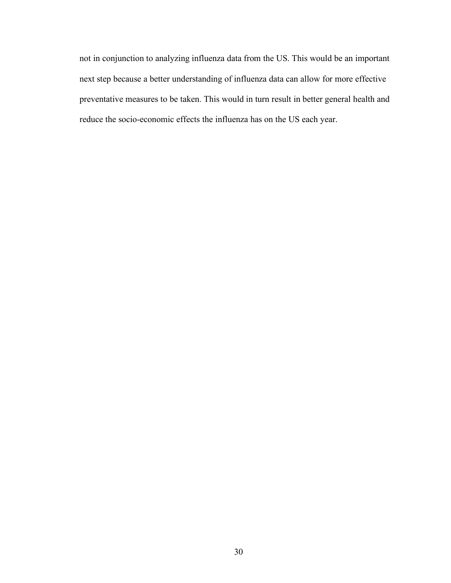not in conjunction to analyzing influenza data from the US. This would be an important next step because a better understanding of influenza data can allow for more effective preventative measures to be taken. This would in turn result in better general health and reduce the socio-economic effects the influenza has on the US each year.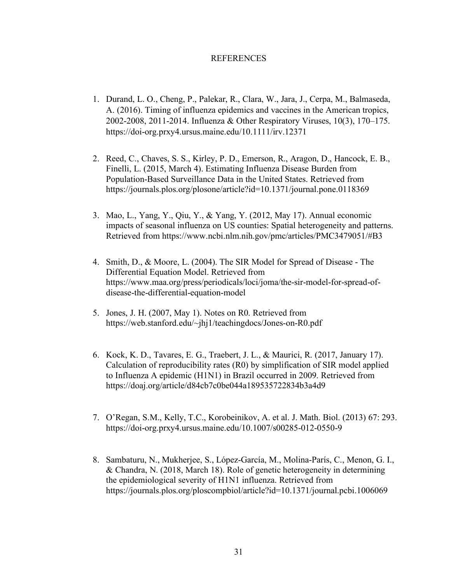#### **REFERENCES**

- 1. Durand, L. O., Cheng, P., Palekar, R., Clara, W., Jara, J., Cerpa, M., Balmaseda, A. (2016). Timing of influenza epidemics and vaccines in the American tropics, 2002-2008, 2011-2014. Influenza & Other Respiratory Viruses, 10(3), 170–175. https://doi-org.prxy4.ursus.maine.edu/10.1111/irv.12371
- 2. Reed, C., Chaves, S. S., Kirley, P. D., Emerson, R., Aragon, D., Hancock, E. B., Finelli, L. (2015, March 4). Estimating Influenza Disease Burden from Population-Based Surveillance Data in the United States. Retrieved from https://journals.plos.org/plosone/article?id=10.1371/journal.pone.0118369
- 3. Mao, L., Yang, Y., Qiu, Y., & Yang, Y. (2012, May 17). Annual economic impacts of seasonal influenza on US counties: Spatial heterogeneity and patterns. Retrieved from https://www.ncbi.nlm.nih.gov/pmc/articles/PMC3479051/#B3
- 4. Smith, D., & Moore, L. (2004). The SIR Model for Spread of Disease The Differential Equation Model. Retrieved from https://www.maa.org/press/periodicals/loci/joma/the-sir-model-for-spread-ofdisease-the-differential-equation-model
- 5. Jones, J. H. (2007, May 1). Notes on R0. Retrieved from https://web.stanford.edu/~jhj1/teachingdocs/Jones-on-R0.pdf
- 6. Kock, K. D., Tavares, E. G., Traebert, J. L., & Maurici, R. (2017, January 17). Calculation of reproducibility rates (R0) by simplification of SIR model applied to Influenza A epidemic (H1N1) in Brazil occurred in 2009. Retrieved from https://doaj.org/article/d84cb7c0be044a189535722834b3a4d9
- 7. O'Regan, S.M., Kelly, T.C., Korobeinikov, A. et al. J. Math. Biol. (2013) 67: 293. https://doi-org.prxy4.ursus.maine.edu/10.1007/s00285-012-0550-9
- 8. Sambaturu, N., Mukherjee, S., López-García, M., Molina-París, C., Menon, G. I., & Chandra, N. (2018, March 18). Role of genetic heterogeneity in determining the epidemiological severity of H1N1 influenza. Retrieved from https://journals.plos.org/ploscompbiol/article?id=10.1371/journal.pcbi.1006069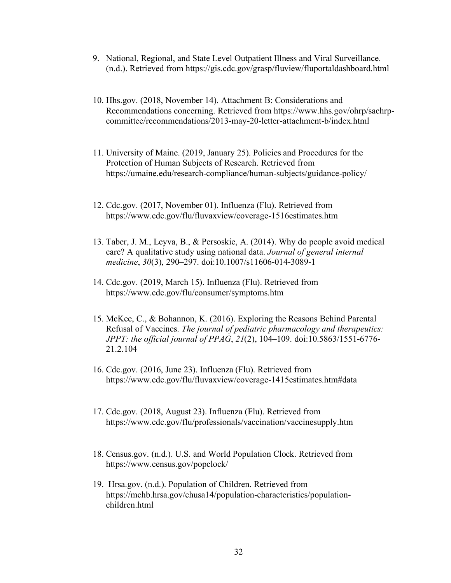- 9. National, Regional, and State Level Outpatient Illness and Viral Surveillance. (n.d.). Retrieved from https://gis.cdc.gov/grasp/fluview/fluportaldashboard.html
- 10. Hhs.gov. (2018, November 14). Attachment B: Considerations and Recommendations concerning. Retrieved from https://www.hhs.gov/ohrp/sachrpcommittee/recommendations/2013-may-20-letter-attachment-b/index.html
- 11. University of Maine. (2019, January 25). Policies and Procedures for the Protection of Human Subjects of Research. Retrieved from https://umaine.edu/research-compliance/human-subjects/guidance-policy/
- 12. Cdc.gov. (2017, November 01). Influenza (Flu). Retrieved from https://www.cdc.gov/flu/fluvaxview/coverage-1516estimates.htm
- 13. Taber, J. M., Leyva, B., & Persoskie, A. (2014). Why do people avoid medical care? A qualitative study using national data. *Journal of general internal medicine*, *30*(3), 290–297. doi:10.1007/s11606-014-3089-1
- 14. Cdc.gov. (2019, March 15). Influenza (Flu). Retrieved from https://www.cdc.gov/flu/consumer/symptoms.htm
- 15. McKee, C., & Bohannon, K. (2016). Exploring the Reasons Behind Parental Refusal of Vaccines. *The journal of pediatric pharmacology and therapeutics: JPPT: the official journal of PPAG*, *21*(2), 104–109. doi:10.5863/1551-6776- 21.2.104
- 16. Cdc.gov. (2016, June 23). Influenza (Flu). Retrieved from https://www.cdc.gov/flu/fluvaxview/coverage-1415estimates.htm#data
- 17. Cdc.gov. (2018, August 23). Influenza (Flu). Retrieved from https://www.cdc.gov/flu/professionals/vaccination/vaccinesupply.htm
- 18. Census.gov. (n.d.). U.S. and World Population Clock. Retrieved from https://www.census.gov/popclock/
- 19. Hrsa.gov. (n.d.). Population of Children. Retrieved from https://mchb.hrsa.gov/chusa14/population-characteristics/populationchildren.html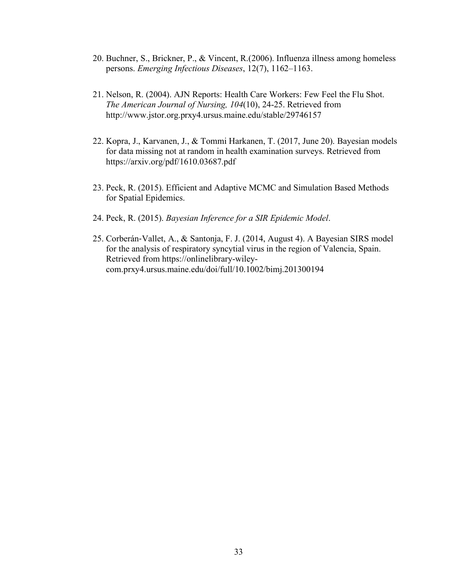- 20. Buchner, S., Brickner, P., & Vincent, R.(2006). Influenza illness among homeless persons. *Emerging Infectious Diseases*, 12(7), 1162–1163.
- 21. Nelson, R. (2004). AJN Reports: Health Care Workers: Few Feel the Flu Shot. *The American Journal of Nursing, 104*(10), 24-25. Retrieved from http://www.jstor.org.prxy4.ursus.maine.edu/stable/29746157
- 22. Kopra, J., Karvanen, J., & Tommi Harkanen, T. (2017, June 20). Bayesian models for data missing not at random in health examination surveys. Retrieved from https://arxiv.org/pdf/1610.03687.pdf
- 23. Peck, R. (2015). Efficient and Adaptive MCMC and Simulation Based Methods for Spatial Epidemics.
- 24. Peck, R. (2015). *Bayesian Inference for a SIR Epidemic Model*.
- 25. Corberán-Vallet, A., & Santonja, F. J. (2014, August 4). A Bayesian SIRS model for the analysis of respiratory syncytial virus in the region of Valencia, Spain. Retrieved from https://onlinelibrary-wileycom.prxy4.ursus.maine.edu/doi/full/10.1002/bimj.201300194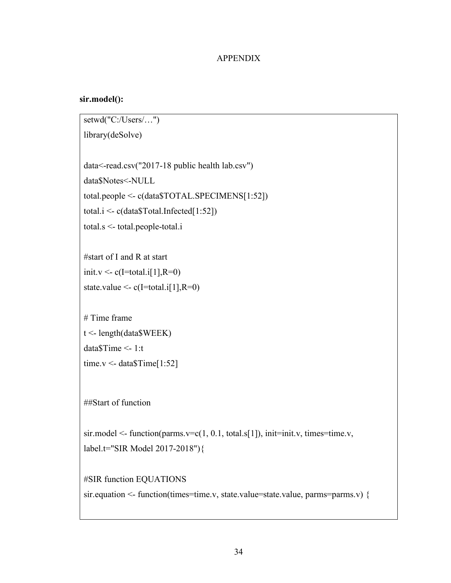### APPENDIX

# **sir.model():**

```
setwd("C:/Users/…")
library(deSolve)
data<-read.csv("2017-18 public health lab.csv")
data$Notes<-NULL
total.people <- c(data$TOTAL.SPECIMENS[1:52])
total.i <- c(data$Total.Infected[1:52])
total.s <- total.people-total.i
#start of I and R at start
init.v <- c(I=total.i[1],R=0)state.value \leq c(I=total.i[1],R=0)# Time frame
t <- length(data$WEEK)
data$Time <- 1:t
time.v <- data$Time[1:52]
##Start of function
sir.model <- function(parms.v=c(1, 0.1, total.s[1]), init=init.v, times=time.v,
```

```
label.t="SIR Model 2017-2018"){
```

```
#SIR function EQUATIONS
sir.equation <- function(times=time.v, state.value=state.value, parms=parms.v) {
```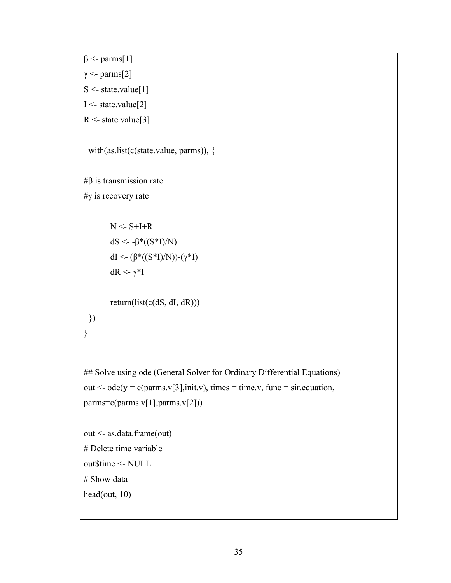```
\beta <- parms[1]
γ <- parms[2]
S <- state.value[1]
I <- state.value[2]
R <- state.value[3]
 with(as.list(c(state.value, parms)), {
#β is transmission rate
#γ is recovery rate
       N < S+I+RdS <- -β*(S*I)/N)dI <- (β*((S*I)/N))-(γ*I)
       dR <- γ*I
       return(list(c(dS, dI, dR)))
 })
}
## Solve using ode (General Solver for Ordinary Differential Equations)
out \leq ode(y = c(parms.v[3],init.v), times = time.v, func = sir.equation,
params=c(params.v[1], parms.v[2]))out <- as.data.frame(out)
# Delete time variable
out$time <- NULL
# Show data
head(out, 10)
```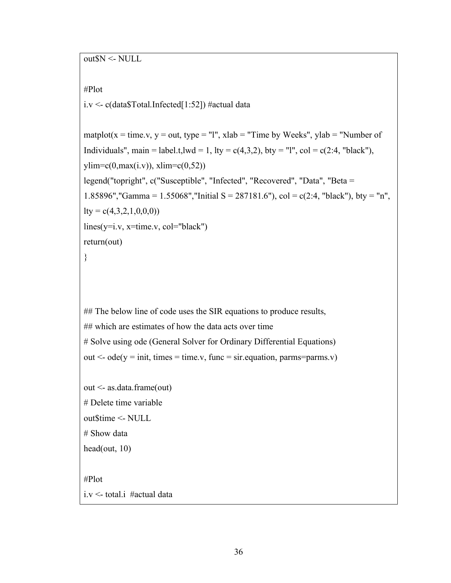out\$N <- NULL

```
#Plot
```
i.v  $\leq$  c(data\$Total.Infected[1:52]) #actual data

```
matplot(x = time.v, y = out, type = "l", xlab = "Time by Weeks", ylab = "Number of
Individuals", main = label.t, lwd = 1, lty = c(4,3,2), bty = "l", col = c(2:4, "black"),
ylim=c(0,max(i.v)), xlim=c(0,52)legend("topright", c("Susceptible", "Infected", "Recovered", "Data", "Beta = 
1.85896","Gamma = 1.55068","Initial S = 287181.6"), col = c(2:4, "black"), bty = "n",
lty = c(4,3,2,1,0,0,0)lines(y=i.v, x=time.v, col="black")return(out)
}
```
## The below line of code uses the SIR equations to produce results, ## which are estimates of how the data acts over time # Solve using ode (General Solver for Ordinary Differential Equations) out  $\leq$  ode(y = init, times = time.v, func = sir. equation, parms=parms.v)

```
out <- as.data.frame(out)
# Delete time variable
out$time <- NULL
# Show data
head(out, 10)
```
#Plot i.v <- total.i #actual data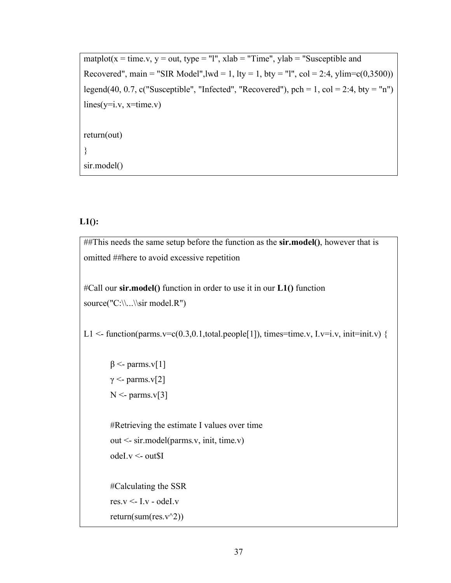```
matplot(x = time.v, y = out, type = "l", xlab = "Time", ylab = "Susceptible andRecovered", main = "SIR Model", |wd = 1, |ty = 1, by = "1", col = 2:4, ylim = c(0,3500)legend(40, 0.7, c("Susceptible", "Infected", "Recovered"), pch = 1, col = 2:4, bty = "n")
lines(y=i.v, x=time.v)return(out)
}
sir.model()
```
## **L1():**

##This needs the same setup before the function as the **sir.model()**, however that is omitted ##here to avoid excessive repetition

#Call our **sir.model()** function in order to use it in our **L1()** function source("C:\\...\\sir model.R")

L1 <- function(parms.v=c(0.3,0.1,total.people[1]), times=time.v, I.v=i.v, init=init.v) {

```
β <- parms.v[1]
γ <- parms.v[2]
N <- parms.v[3]
```
#Retrieving the estimate I values over time out <- sir.model(parms.v, init, time.v) odeI.v <- out\$I

#Calculating the SSR res. $v <$ - I.v - odeI.v return(sum(res.v^2))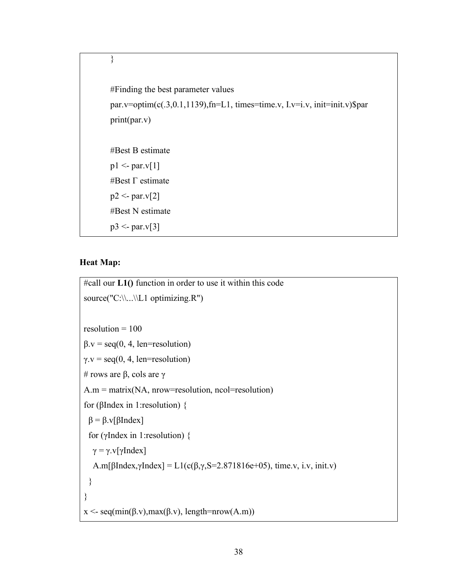```
#Finding the best parameter values
par.v=optim(c(.3,0.1,1139),fn=L1, times=time.v, I.v=i.v, init=init.v)$par
print(par.v)
#Best Β estimate
p1 \leq- par.v[1]
#Best Γ estimate
p2 <- par.v[2]
#Best N estimate
p3 < par.v[3]
```
### **Heat Map:**

}

```
#call our L1() function in order to use it within this code
source("C:\\.\.\.\.\resolution = 100\beta.v = seq(0, 4, len=resolution)
\gamma.v = seq(0, 4, len=resolution)
# rows are β, cols are γ
A.m = matrix(NA, nrow=resolution, ncol=resolution)for (βIndex in 1:resolution) {
 β = β.v[βIndex]for (γIndex in 1:resolution) {
 γ = γ.v[γIndex]A.m[βIndex,γIndex] = L1(c(\beta, \gamma, S=2.871816e+05)), time.v, i.v, init.v)
 }
}
x <- seq(min(\beta.v), max(\beta.v), length=nrow(A.m))
```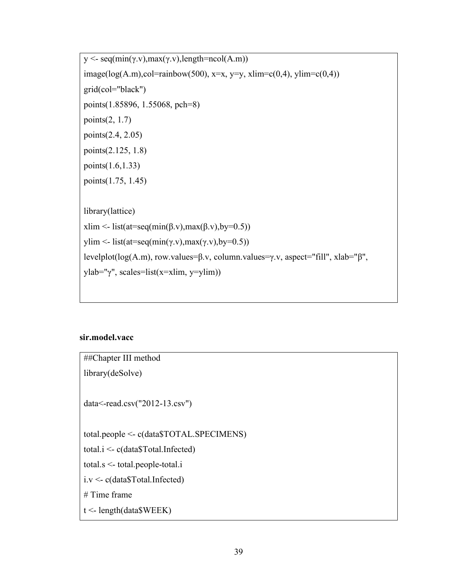```
y <- seq(min(γ.v),max(γ.v),length=ncol(A.m))
image(log(A.m),col=rainbow(500), x=x, y=y, xlim=c(0,4), ylim=c(0,4))
grid(col="black")
points(1.85896, 1.55068, pch=8)
points(2, 1.7)
points(2.4, 2.05)
points(2.125, 1.8)
points(1.6,1.33)
points(1.75, 1.45)
library(lattice)
xlim <- list(at=seq(min(\beta.v),max(\beta.v),by=0.5))
ylim <- list(at=seq(min(γ.v),max(γ.v),by=0.5))
levelplot(log(A.m), row.values=β.v, column.values=γ.v, aspect="fill", xlab="β", 
ylab="γ", scales=list(x=xlim, y=ylim))
```
# **sir.model.vacc**

| ##Chapter III method                         |
|----------------------------------------------|
| library(deSolve)                             |
| $data <$ -read.csv("2012-13.csv")            |
| total.people $\leq$ c(data\$TOTAL.SPECIMENS) |
| total. $i <$ - c(data\$Total.Infected)       |
| total.s $\le$ -total.people-total.i          |
| $i.v \leq c(data$Total. Infected)$           |
| $#$ Time frame                               |
| $t <$ - length(data\$WEEK)                   |
|                                              |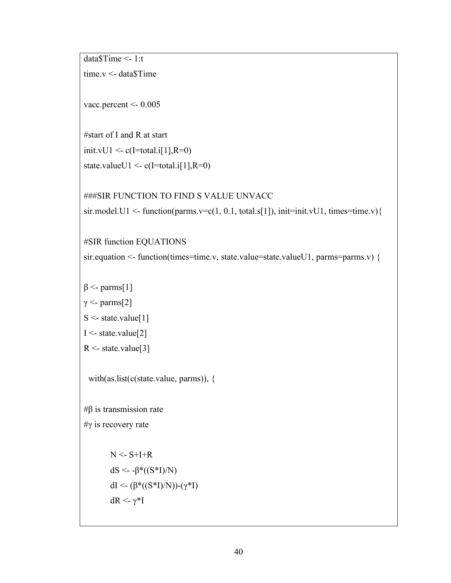```
data$Time <- 1:t
time.v <- data$Time
```
vacc.percent <- 0.005

```
#start of I and R at start
init.vU1 \leq c(I=total.i[1],R=0)
state.valueU1 <- c(I=total.i[1],R=0)
```
###SIR FUNCTION TO FIND S VALUE UNVACC

```
sir.model.U1 <- function(parms.v=c(1, 0.1, total.s[1]), init=init.vU1, times=time.v){
```
#SIR function EQUATIONS

sir.equation <- function(times=time.v, state.value=state.valueU1, parms=parms.v) {

```
β <- parms[1]
```
 $γ <$ - parms[2]

```
S <- state.value[1]
```
 $I <$ - state.value[2]

 $R <$ - state.value[3]

with(as.list(c(state.value, parms)), {

#β is transmission rate #γ is recovery rate

> $N < S+I+R$ dS <- -β\*((S\*I)/N) dI <- (β\*((S\*I)/N))-(γ\*I) dR <- γ<sup>\*</sup>I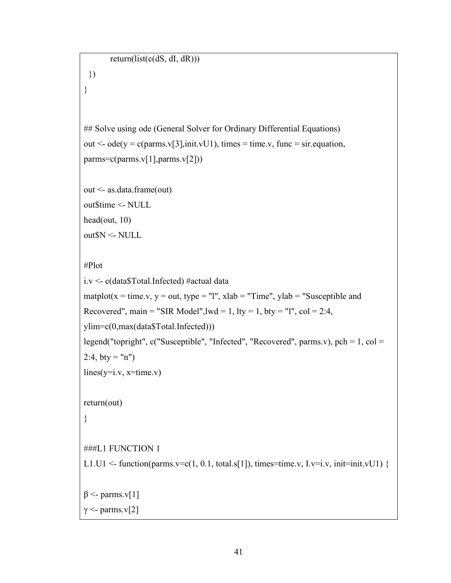```
return(list(c(dS, dI, dR)))
```

```
## Solve using ode (General Solver for Ordinary Differential Equations)
out \leq ode(y = c(parms.v[3],init.vU1), times = time.v, func = sir.equation,
params=c(params.v[1], parms.v[2]))
```

```
out <- as.data.frame(out)
out$time <- NULL
head(out, 10)
out$N <- NULL
```

```
#Plot
```
})

}

```
i.v <- c(data$Total.Infected) #actual data
matplot(x = time.v, y = out, type = "l", xlab = "Time", ylab = "Susceptible and
Recovered", main = "SIR Model",lwd = 1, lty = 1, bty = "l", col = 2:4,
ylim=c(0,max(data$Total.Infected)))
legend("topright", c("Susceptible", "Infected", "Recovered", parms.v), pch = 1, col = 
2:4, bty = "n")lines(y=i.v, x=time.v)return(out)
}
###L1 FUNCTION 1
L1.U1 \le function(parms.v=c(1, 0.1, total.s[1]), times=time.v, I.v=i.v, init=init.vU1) {
β <- parms.v[1]
γ <- parms.v[2]
```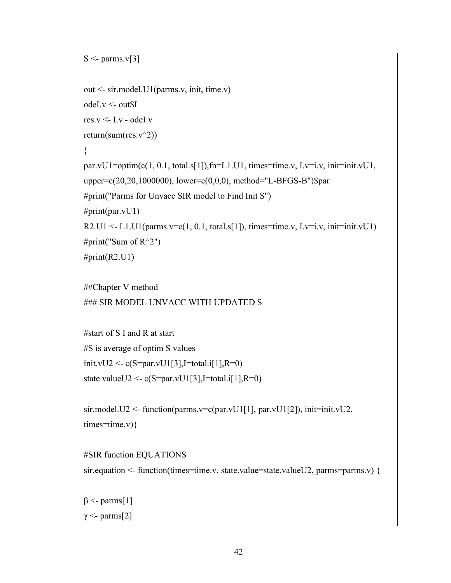```
S \leq parms. v[3]out <- sir.model.U1(parms.v, init, time.v)
odeI.v <- out$I
res.v < I.v - odd.
return(sum(res.v^2))
}
par.vU1=optim(c(1, 0.1, total.s[1]),fn=L1.U1, times=time.v, I.v=i.v, init=init.vU1,
upper=c(20,20,1000000), lower=c(0,0,0), method="L-BFGS-B")$par
#print("Parms for Unvacc SIR model to Find Init S")
#print(par.vU1)R2.U1 \leq L1.U1(parms.v=c(1, 0.1, total.s[1]), times=time.v, Lv=i.v, init=init.vU1)#print("Sum of R^2")
#print(R2.U1)
##Chapter V method
### SIR MODEL UNVACC WITH UPDATED S
#start of S I and R at start
#S is average of optim S values
init.vU2 < c(S=par.vU1[3], I=total.i[1], R=0)state.valueU2 <- c(S=par.vU1[3], I=total.i[1], R=0)sir.model.U2 <- function(parms.v=c(par.vU1[1], par.vU1[2]), init=init.vU2,
times = time.v}{
#SIR function EQUATIONS
sir.equation <- function(times=time.v, state.value=state.valueU2, parms=parms.v) {
β <- parms[1]
γ <- parms[2]
```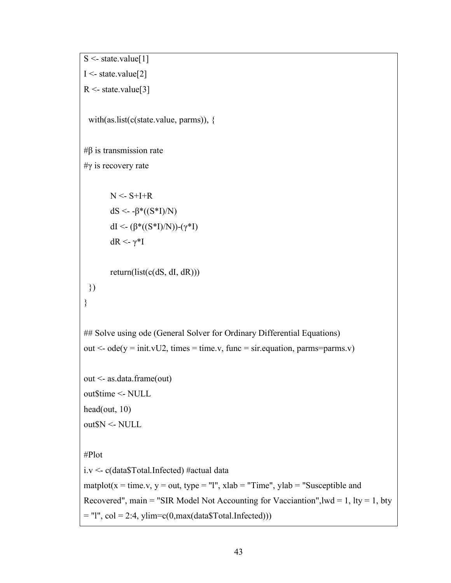```
S \leq state.value[1]I < - state.value[2]
R <- state.value[3]
 with(as.list(c(state.value, parms)), {
#β is transmission rate
#γ is recovery rate
       N \leq S+I+RdS <- -β*(S*I)/N)dI <- (β*(S*I)/N))-(γ*I)dR <- γ*I
       return(list(c(dS, dI, dR)))})
}
## Solve using ode (General Solver for Ordinary Differential Equations)
out \leq ode(y = init.vU2, times = time.v, func = sir.equation, parms=parms.v)
out <- as.data.frame(out)
out$time <- NULL
head(out, 10)
out$N <- NULL
#Plot
i.v <- c(data$Total.Infected) #actual data
matplot(x = time.v, y = out, type = "l", xlab = "Time", ylab = "Susceptible and
Recovered", main = "SIR Model Not Accounting for Vacciantion", lwd = 1, lty = 1, bty
= "l", col = 2:4, ylim=c(0,max(data$Total.Infected)))
```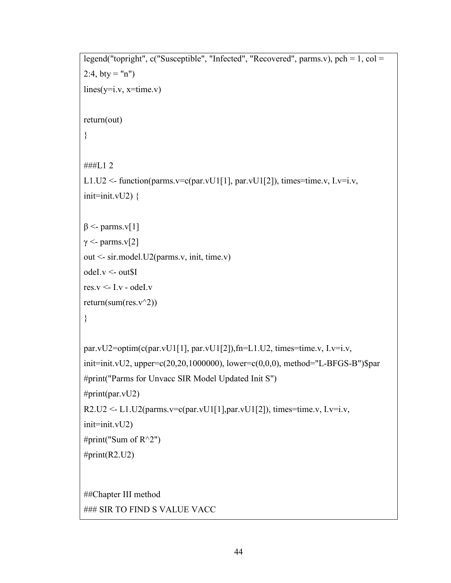```
legend("topright", c("Susceptible", "Infected", "Recovered", parms.v), pch = 1, col = 
2:4, bty = "n")lines(v=i.v, x=time.v)return(out)
}
###L1 2
L1.U2 <- function(parms.v=c(par.vU1[1], par.vU1[2]), times=time.v, I.v=i.v,
init = init.vU2}
β <- parms.v[1]
γ <- parms.v[2]
out <- sir.model.U2(parms.v, init, time.v)
odeI.v <- out$I
res.v < I.v - odeI.vreturn(sum(res.v^2))
}
par.vU2=optim(c(par.vU1[1], par.vU1[2]),fn=L1.U2, times=time.v, I.v=i.v, 
init=init.vU2, upper=c(20,20,1000000), lower=c(0,0,0), method="L-BFGS-B")$par
#print("Parms for Unvacc SIR Model Updated Init S")
#print(par.vU2)
R2.U2 \leq L1.U2(parms.v=c(par.vU1[1],par.vU1[2]), times=time.v, I.v=i.v,init=init.vU2)
#print("Sum of R^2")
#print(R2.U2)##Chapter III method
### SIR TO FIND S VALUE VACC
```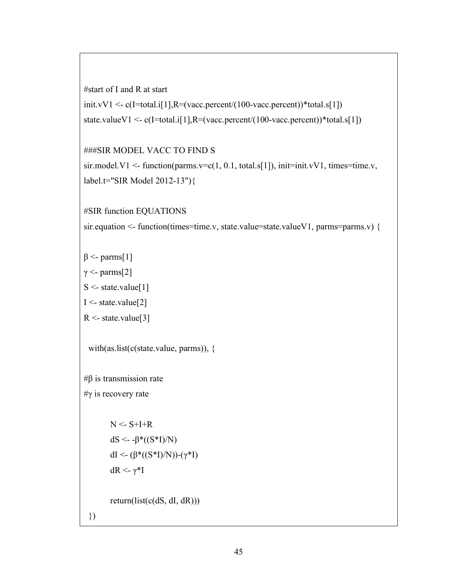```
#start of I and R at start
```

```
init.vV1 \leq c(I=total.i[1],R=(vacc.percent/(100-vacc.percent))*total.s[1])state.valueV1 <- c(I=total.i[1],R=(vacc.percent/(100-vacc.percent))*total.s[1])
```
###SIR MODEL VACC TO FIND S

```
sir.model.V1 <- function(parms.v=c(1, 0.1, total.s[1]), init=init.vV1, times=time.v,
label.t="SIR Model 2012-13"){
```
#SIR function EQUATIONS

sir.equation <- function(times=time.v, state.value=state.valueV1, parms=parms.v) {

 $β$  <- parms[1]

 $γ <$ - parms[2]

```
S \leq state.value[1]
```

```
I <- state.value[2]
```

```
R <- state.value[3]
```
with(as.list(c(state.value, parms)), {

 $#β$  is transmission rate

#γ is recovery rate

 $N < S+I+R$ dS <- -β\*((S\*I)/N) dI <- (β\*((S\*I)/N))-(γ\*I) dR <- γ<sup>\*</sup>I return(list(c(dS, dI, dR)))

})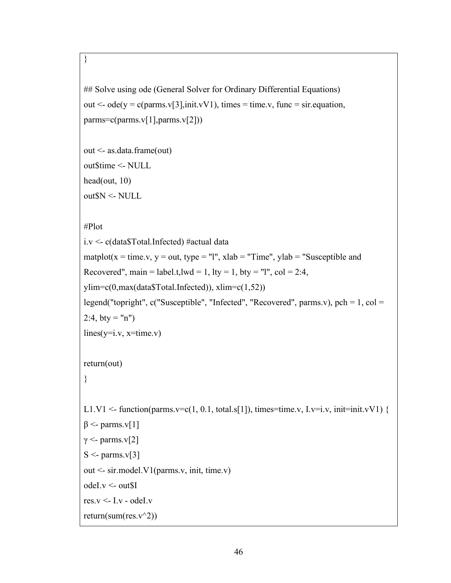# }

```
## Solve using ode (General Solver for Ordinary Differential Equations)
out \leq ode(y = c(parms.v[3],init.vV1), times = time.v, func = sir.equation,
params=c(params.v[1], parms.v[2]))
```

```
out <- as.data.frame(out)
out$time <- NULL
head(out, 10)
out$N <- NULL
```
## #Plot

```
i.v <- c(data$Total.Infected) #actual data
matplot(x = time.v, y = out, type = "l", xlab = "Time", ylab = "Susceptible and
Recovered", main = label.t,lwd = 1, lty = 1, bty = "l", col = 2:4,
ylim=c(0,max(data$Total.Infected)), xlim=c(1,52)legend("topright", c("Susceptible", "Infected", "Recovered", parms.v), pch = 1, col = 
2:4, bty = "n")
lines(y=i.v, x=time.v)return(out)
}
L1.V1 <- function(parms.v=c(1, 0.1, total.s[1]), times=time.v, I.v=i.v, init=init.vV1) {
β <- parms.v[1]
γ <- parms.v[2]
S \leq parms. v[3]out <- sir.model.V1(parms.v, init, time.v)
odeI.v <- out$I
res.v < I.v - odd.
return(sum(res.v^2))
```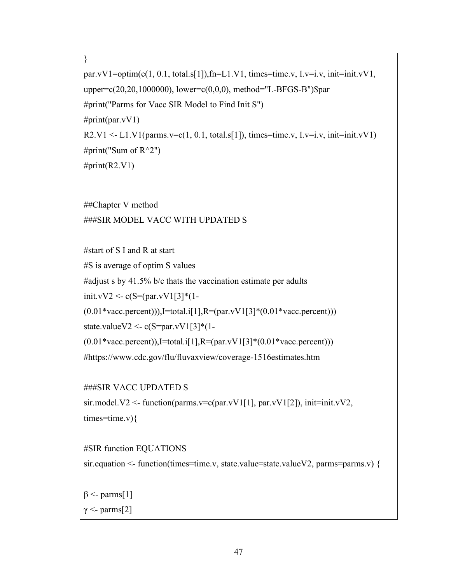```
par.vV1=optim(c(1, 0.1, total.s[1]),fn=L1.V1, times=time.v, I.v=i.v, init=init.vV1,
upper=c(20,20,1000000), lower=c(0,0,0), method="L-BFGS-B")$par
#print("Parms for Vacc SIR Model to Find Init S")
#print(par.vV1)R2.V1 \le L1.V1(parms.v=c(1, 0.1, total.s[1]), times=time.v, Lv=i.v, init=init.vV1)#print("Sum of R^2")
#print(R2.V1)
```
##Chapter V method ###SIR MODEL VACC WITH UPDATED S

#start of S I and R at start

}

#S is average of optim S values

#adjust s by 41.5% b/c thats the vaccination estimate per adults

init.vV2 <- c(S=(par.vV1[3]\*(1-

 $(0.01*vacc.percent))$ , I=total.i[1], R=(par.vV1[3]\*(0.01\*vacc.percent)))

state.valueV2 <- c(S=par.vV1[3]\*(1-

 $(0.01*vac.percent)$ ,I=total.i[1],R=(par.vV1[3] $*(0.01*vac.percent)$ )

#https://www.cdc.gov/flu/fluvaxview/coverage-1516estimates.htm

###SIR VACC UPDATED S

sir.model.V2 <- function(parms.v=c(par.vV1[1], par.vV1[2]), init=init.vV2, times=time.v) $\{$ 

#SIR function EQUATIONS

sir.equation <- function(times=time.v, state.value=state.valueV2, parms=parms.v) {

 $β$  <- parms[1]

 $γ <$ - parms[2]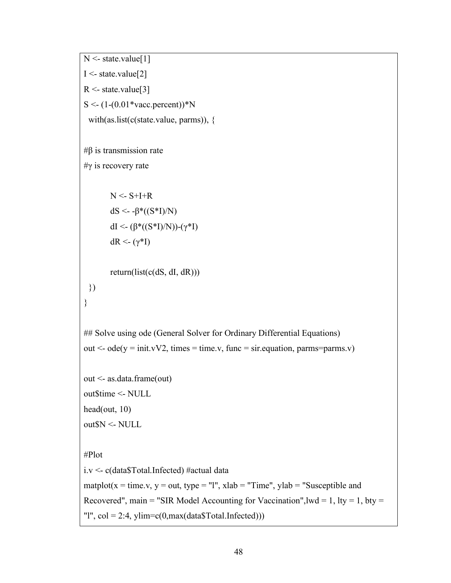```
N <- state.value[1]
I < - state.value[2]
R <- state.value[3]
S \leq (1-(0.01*\varepsilon) \cdot \varepsilon)with(as.list(c(state.value, parms)), {
#β is transmission rate
#γ is recovery rate
       N \leq S+I+RdS <- -β*(S*I)/N)dI <- (β*(S*I)/N))-(γ*I)dR <- (γ*Ι)
       return(list(c(dS, dI, dR)))})
}
## Solve using ode (General Solver for Ordinary Differential Equations)
out \leq ode(y = init.vV2, times = time.v, func = sir.equation, parms=parms.v)
out <- as.data.frame(out)
out$time <- NULL
head(out, 10)
out$N <- NULL
#Plot
i.v <- c(data$Total.Infected) #actual data
matplot(x = time.v, y = out, type = "l", xlab = "Time", ylab = "Susceptible and
Recovered", main = "SIR Model Accounting for Vaccination", lwd = 1, lty = 1, bty =
"l", col = 2:4, ylim = c(0, max(data\$Total.Infected))
```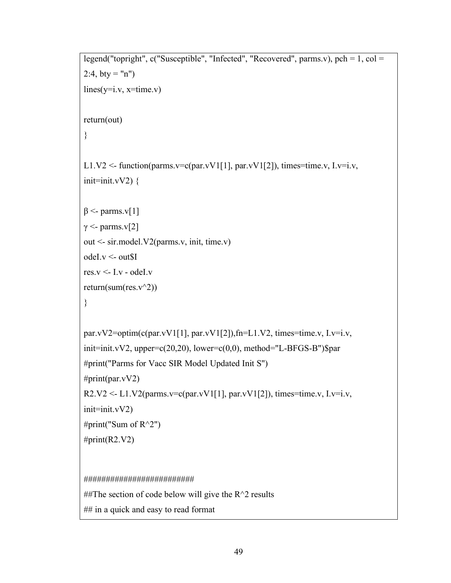```
legend("topright", c("Susceptible", "Infected", "Recovered", parms.v), pch = 1, col = 
2:4, bty = "n")lines(v=i.v, x=time.v)return(out)
}
L1.V2 <- function(parms.v=c(par.vV1[1], par.vV1[2]), times=time.v, I.v=i.v,
init=init.vV2}
β <- parms.v[1]
γ <- parms.v[2]
out <- sir.model.V2(parms.v, init, time.v)
odeI.v <- out$I
res.v \leq- I.v - odeI.v
return(sum(res.v^2))
}
par.vV2=optim(c(par.vV1[1], par.vV1[2]),fn=L1.V2, times=time.v, I.v=i.v,
init=init.vV2, upper=c(20,20), lower=c(0,0), method="L-BFGS-B")$par
#print("Parms for Vacc SIR Model Updated Init S")
#print(par.vV2)R2.V2 <- L1.V2(parms.v=c(par.vV1[1], par.vV1[2]), times=time.v, I.v=i.v,
init = init.vV2)#print("Sum of R^2")
#print(R2.V2)#########################
##The section of code below will give the R^2 results
```
## in a quick and easy to read format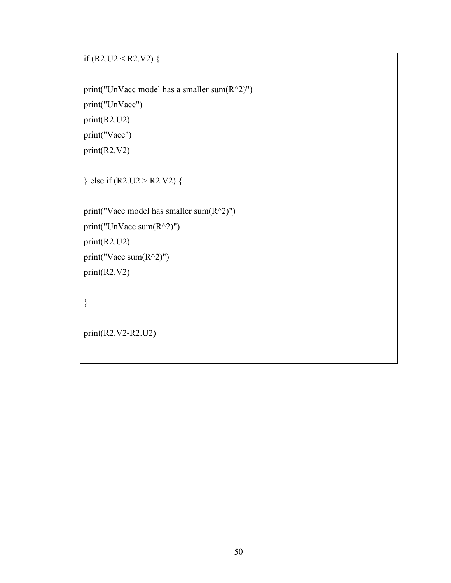```
if (R2.U2 < R2.V2) {
```
print("UnVacc model has a smaller sum $(R^2)$ ") print("UnVacc") print(R2.U2) print("Vacc") print(R2.V2)

} else if (R2.U2 > R2.V2) {

print("Vacc model has smaller sum(R^2)") print("UnVacc sum $(R^2)$ ") print(R2.U2) print("Vacc sum $(R^2)$ ") print(R2.V2)

}

print(R2.V2-R2.U2)